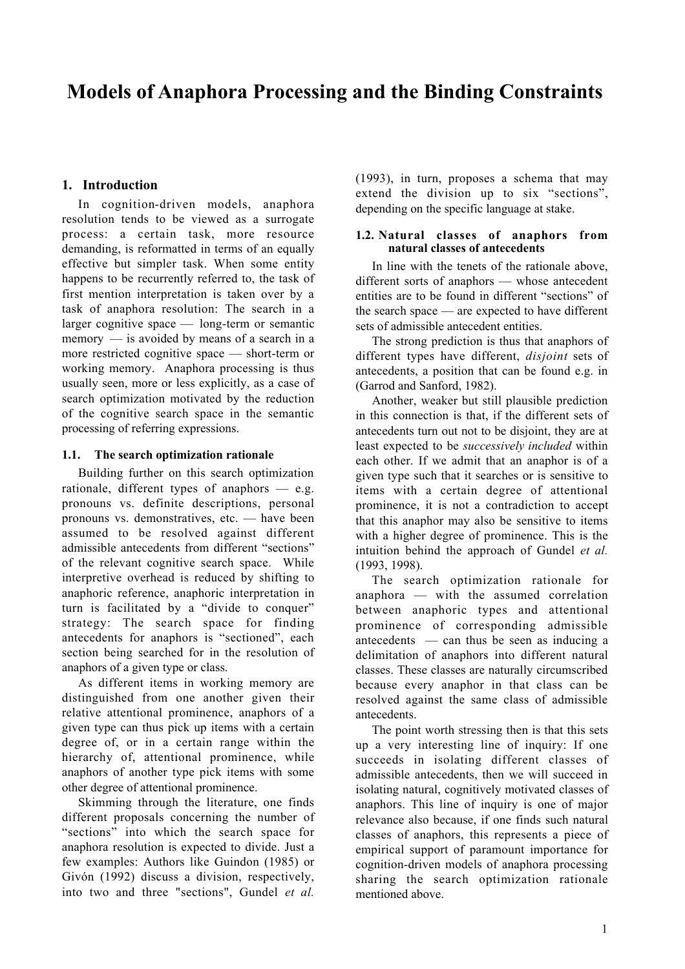# **Models of Anaphora Processing and the Binding Constraints**

## **1. Introduction**

In cognition-driven models, anaphora resolution tends to be viewed as a surrogate process: a certain task, more resource demanding, is reformatted in terms of an equally effective but simpler task. When some entity happens to be recurrently referred to, the task of first mention interpretation is taken over by a task of anaphora resolution: The search in a larger cognitive space — long-term or semantic memory — is avoided by means of a search in a more restricted cognitive space — short-term or working memory. Anaphora processing is thus usually seen, more or less explicitly, as a case of search optimization motivated by the reduction of the cognitive search space in the semantic processing of referring expressions.

## **1.1. The search optimization rationale**

Building further on this search optimization rationale, different types of anaphors — e.g. pronouns vs. definite descriptions, personal pronouns vs. demonstratives, etc. — have been assumed to be resolved against different admissible antecedents from different "sections" of the relevant cognitive search space. While interpretive overhead is reduced by shifting to anaphoric reference, anaphoric interpretation in turn is facilitated by a "divide to conquer" strategy: The search space for finding antecedents for anaphors is "sectioned", each section being searched for in the resolution of anaphors of a given type or class.

As different items in working memory are distinguished from one another given their relative attentional prominence, anaphors of a given type can thus pick up items with a certain degree of, or in a certain range within the hierarchy of, attentional prominence, while anaphors of another type pick items with some other degree of attentional prominence.

Skimming through the literature, one finds different proposals concerning the number of "sections" into which the search space for anaphora resolution is expected to divide. Just a few examples: Authors like Guindon (1985) or Givón (1992) discuss a division, respectively, into two and three "sections", Gundel *et al.*

(1993), in turn, proposes a schema that may extend the division up to six "sections", depending on the specific language at stake.

## **1.2. Natural classes of anaphors from natural classes of antecedents**

In line with the tenets of the rationale above, different sorts of anaphors — whose antecedent entities are to be found in different "sections" of the search space — are expected to have different sets of admissible antecedent entities.

The strong prediction is thus that anaphors of different types have different, *disjoint* sets of antecedents, a position that can be found e.g. in (Garrod and Sanford, 1982).

Another, weaker but still plausible prediction in this connection is that, if the different sets of antecedents turn out not to be disjoint, they are at least expected to be *successively included* within each other. If we admit that an anaphor is of a given type such that it searches or is sensitive to items with a certain degree of attentional prominence, it is not a contradiction to accept that this anaphor may also be sensitive to items with a higher degree of prominence. This is the intuition behind the approach of Gundel *et al.* (1993, 1998).

The search optimization rationale for anaphora — with the assumed correlation between anaphoric types and attentional prominence of corresponding admissible antecedents — can thus be seen as inducing a delimitation of anaphors into different natural classes. These classes are naturally circumscribed because every anaphor in that class can be resolved against the same class of admissible antecedents.

The point worth stressing then is that this sets up a very interesting line of inquiry: If one succeeds in isolating different classes of admissible antecedents, then we will succeed in isolating natural, cognitively motivated classes of anaphors. This line of inquiry is one of major relevance also because, if one finds such natural classes of anaphors, this represents a piece of empirical support of paramount importance for cognition-driven models of anaphora processing sharing the search optimization rationale mentioned above.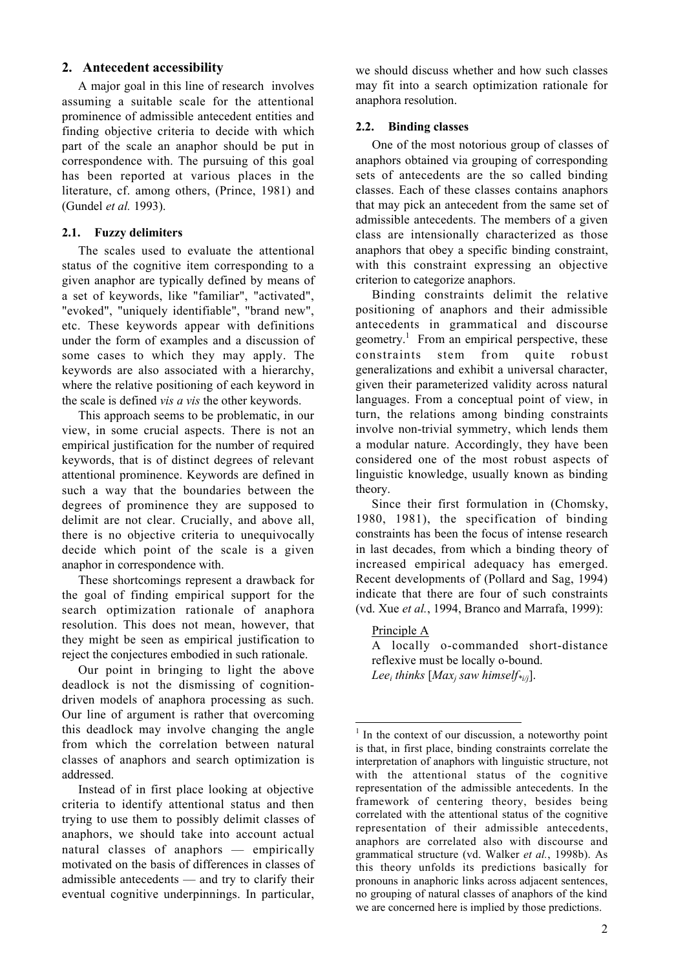## **2. Antecedent accessibility**

A major goal in this line of research involves assuming a suitable scale for the attentional prominence of admissible antecedent entities and finding objective criteria to decide with which part of the scale an anaphor should be put in correspondence with. The pursuing of this goal has been reported at various places in the literature, cf. among others, (Prince, 1981) and (Gundel *et al.* 1993).

## **2.1. Fuzzy delimiters**

The scales used to evaluate the attentional status of the cognitive item corresponding to a given anaphor are typically defined by means of a set of keywords, like "familiar", "activated", "evoked", "uniquely identifiable", "brand new", etc. These keywords appear with definitions under the form of examples and a discussion of some cases to which they may apply. The keywords are also associated with a hierarchy, where the relative positioning of each keyword in the scale is defined *vis a vis* the other keywords.

This approach seems to be problematic, in our view, in some crucial aspects. There is not an empirical justification for the number of required keywords, that is of distinct degrees of relevant attentional prominence. Keywords are defined in such a way that the boundaries between the degrees of prominence they are supposed to delimit are not clear. Crucially, and above all, there is no objective criteria to unequivocally decide which point of the scale is a given anaphor in correspondence with.

These shortcomings represent a drawback for the goal of finding empirical support for the search optimization rationale of anaphora resolution. This does not mean, however, that they might be seen as empirical justification to reject the conjectures embodied in such rationale.

Our point in bringing to light the above deadlock is not the dismissing of cognitiondriven models of anaphora processing as such. Our line of argument is rather that overcoming this deadlock may involve changing the angle from which the correlation between natural classes of anaphors and search optimization is addressed.

Instead of in first place looking at objective criteria to identify attentional status and then trying to use them to possibly delimit classes of anaphors, we should take into account actual natural classes of anaphors — empirically motivated on the basis of differences in classes of admissible antecedents — and try to clarify their eventual cognitive underpinnings. In particular,

we should discuss whether and how such classes may fit into a search optimization rationale for anaphora resolution.

## **2.2. Binding classes**

One of the most notorious group of classes of anaphors obtained via grouping of corresponding sets of antecedents are the so called binding classes. Each of these classes contains anaphors that may pick an antecedent from the same set of admissible antecedents. The members of a given class are intensionally characterized as those anaphors that obey a specific binding constraint, with this constraint expressing an objective criterion to categorize anaphors.

Binding constraints delimit the relative positioning of anaphors and their admissible antecedents in grammatical and discourse geometry.<sup>1</sup> From an empirical perspective, these constraints stem from quite robust generalizations and exhibit a universal character, given their parameterized validity across natural languages. From a conceptual point of view, in turn, the relations among binding constraints involve non-trivial symmetry, which lends them a modular nature. Accordingly, they have been considered one of the most robust aspects of linguistic knowledge, usually known as binding theory.

Since their first formulation in (Chomsky, 1980, 1981), the specification of binding constraints has been the focus of intense research in last decades, from which a binding theory of increased empirical adequacy has emerged. Recent developments of (Pollard and Sag, 1994) indicate that there are four of such constraints (vd. Xue *et al.*, 1994, Branco and Marrafa, 1999):

#### Principle A

A locally o-commanded short-distance reflexive must be locally o-bound. *Leei thinks* [*Maxj saw himself\*i/j*].

 $1$  In the context of our discussion, a noteworthy point is that, in first place, binding constraints correlate the interpretation of anaphors with linguistic structure, not with the attentional status of the cognitive representation of the admissible antecedents. In the framework of centering theory, besides being correlated with the attentional status of the cognitive representation of their admissible antecedents, anaphors are correlated also with discourse and grammatical structure (vd. Walker *et al.*, 1998b). As this theory unfolds its predictions basically for pronouns in anaphoric links across adjacent sentences, no grouping of natural classes of anaphors of the kind we are concerned here is implied by those predictions.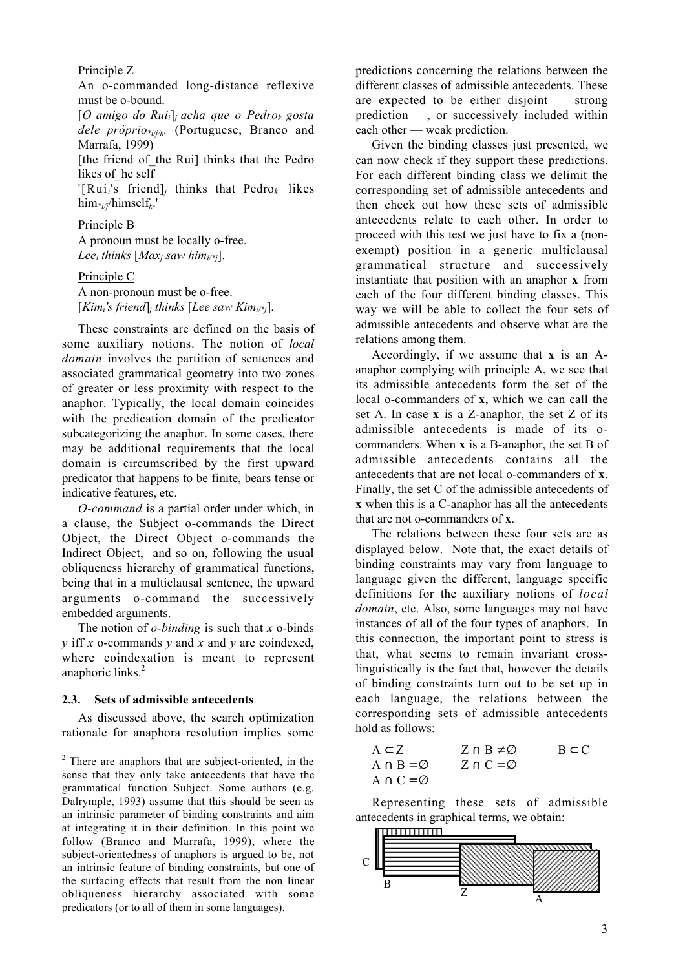## Principle Z

An o-commanded long-distance reflexive must be o-bound.

[*O amigo do Ruii*]*<sup>j</sup> acha que o Pedrok gosta dele próprio\*i/j/k.* (Portuguese, Branco and Marrafa, 1999)

[the friend of the Rui] thinks that the Pedro likes of he self

'[Rui*i*'s friend]*j* thinks that Pedro*k* likes him*\*i/j*/himself*k*.'

### Principle B

A pronoun must be locally o-free. *Leei thinks* [*Maxj saw himi/\*j*].

## Principle C

A non-pronoun must be o-free.  $[Kim_i's friend]$ *<sub>i</sub> thinks* [*Lee saw Kim<sub>i/\*j</sub>]*.

These constraints are defined on the basis of some auxiliary notions. The notion of *local domain* involves the partition of sentences and associated grammatical geometry into two zones of greater or less proximity with respect to the anaphor. Typically, the local domain coincides with the predication domain of the predicator subcategorizing the anaphor. In some cases, there may be additional requirements that the local domain is circumscribed by the first upward predicator that happens to be finite, bears tense or indicative features, etc.

*O-command* is a partial order under which, in a clause, the Subject o-commands the Direct Object, the Direct Object o-commands the Indirect Object, and so on, following the usual obliqueness hierarchy of grammatical functions, being that in a multiclausal sentence, the upward arguments o-command the successively embedded arguments.

The notion of *o-binding* is such that *x* o-binds *y* iff *x* o-commands *y* and *x* and *y* are coindexed, where coindexation is meant to represent anaphoric links.<sup>2</sup>

#### **2.3. Sets of admissible antecedents**

 $\overline{a}$ 

As discussed above, the search optimization rationale for anaphora resolution implies some predictions concerning the relations between the different classes of admissible antecedents. These are expected to be either disjoint — strong prediction —, or successively included within each other — weak prediction.

Given the binding classes just presented, we can now check if they support these predictions. For each different binding class we delimit the corresponding set of admissible antecedents and then check out how these sets of admissible antecedents relate to each other. In order to proceed with this test we just have to fix a (nonexempt) position in a generic multiclausal grammatical structure and successively instantiate that position with an anaphor **x** from each of the four different binding classes. This way we will be able to collect the four sets of admissible antecedents and observe what are the relations among them.

Accordingly, if we assume that **x** is an Aanaphor complying with principle A, we see that its admissible antecedents form the set of the local o-commanders of **x**, which we can call the set A. In case **x** is a Z-anaphor, the set Z of its admissible antecedents is made of its ocommanders. When **x** is a B-anaphor, the set B of admissible antecedents contains all the antecedents that are not local o-commanders of **x**. Finally, the set C of the admissible antecedents of **x** when this is a C-anaphor has all the antecedents that are not o-commanders of **x**.

The relations between these four sets are as displayed below. Note that, the exact details of binding constraints may vary from language to language given the different, language specific definitions for the auxiliary notions of *local domain*, etc. Also, some languages may not have instances of all of the four types of anaphors. In this connection, the important point to stress is that, what seems to remain invariant crosslinguistically is the fact that, however the details of binding constraints turn out to be set up in each language, the relations between the corresponding sets of admissible antecedents hold as follows:

$$
A \subset Z A \cap B = \varnothing A \cap C = \varnothing A \cap C = \varnothing
$$

Representing these sets of admissible antecedents in graphical terms, we obtain:



 $2$  There are anaphors that are subject-oriented, in the sense that they only take antecedents that have the grammatical function Subject. Some authors (e.g. Dalrymple, 1993) assume that this should be seen as an intrinsic parameter of binding constraints and aim at integrating it in their definition. In this point we follow (Branco and Marrafa, 1999), where the subject-orientedness of anaphors is argued to be, not an intrinsic feature of binding constraints, but one of the surfacing effects that result from the non linear obliqueness hierarchy associated with some predicators (or to all of them in some languages).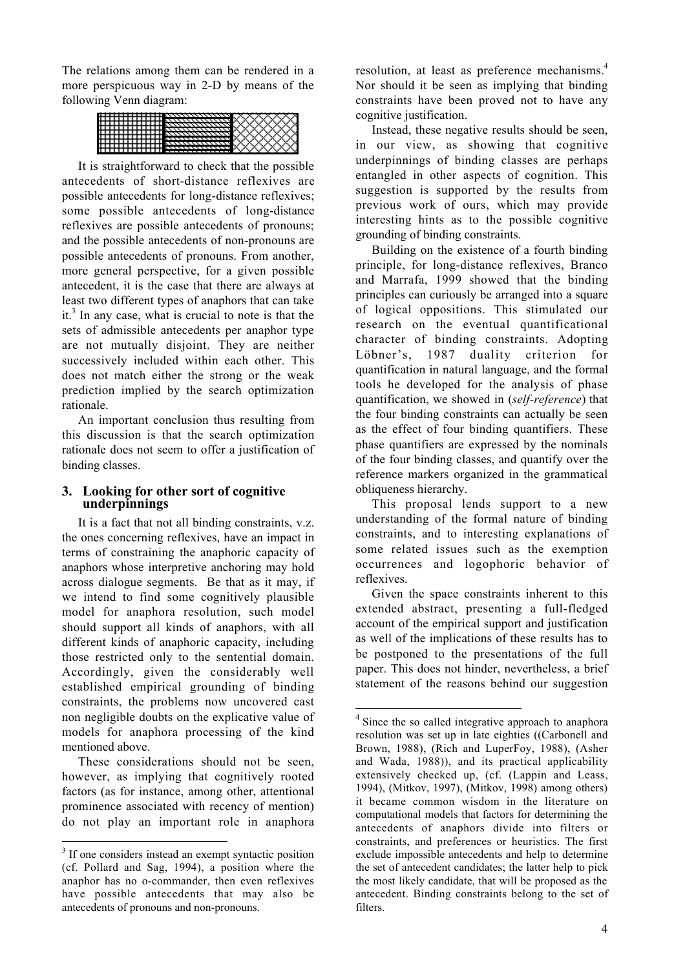The relations among them can be rendered in a more perspicuous way in 2-D by means of the following Venn diagram:



It is straightforward to check that the possible antecedents of short-distance reflexives are possible antecedents for long-distance reflexives; some possible antecedents of long-distance reflexives are possible antecedents of pronouns; and the possible antecedents of non-pronouns are possible antecedents of pronouns. From another, more general perspective, for a given possible antecedent, it is the case that there are always at least two different types of anaphors that can take it.<sup>3</sup> In any case, what is crucial to note is that the sets of admissible antecedents per anaphor type are not mutually disjoint. They are neither successively included within each other. This does not match either the strong or the weak prediction implied by the search optimization rationale.

An important conclusion thus resulting from this discussion is that the search optimization rationale does not seem to offer a justification of binding classes.

## **3. Looking for other sort of cognitive underpinnings**

It is a fact that not all binding constraints, v.z. the ones concerning reflexives, have an impact in terms of constraining the anaphoric capacity of anaphors whose interpretive anchoring may hold across dialogue segments. Be that as it may, if we intend to find some cognitively plausible model for anaphora resolution, such model should support all kinds of anaphors, with all different kinds of anaphoric capacity, including those restricted only to the sentential domain. Accordingly, given the considerably well established empirical grounding of binding constraints, the problems now uncovered cast non negligible doubts on the explicative value of models for anaphora processing of the kind mentioned above.

These considerations should not be seen, however, as implying that cognitively rooted factors (as for instance, among other, attentional prominence associated with recency of mention) do not play an important role in anaphora

resolution, at least as preference mechanisms.<sup>4</sup> Nor should it be seen as implying that binding constraints have been proved not to have any cognitive justification.

Instead, these negative results should be seen, in our view, as showing that cognitive underpinnings of binding classes are perhaps entangled in other aspects of cognition. This suggestion is supported by the results from previous work of ours, which may provide interesting hints as to the possible cognitive grounding of binding constraints.

Building on the existence of a fourth binding principle, for long-distance reflexives, Branco and Marrafa, 1999 showed that the binding principles can curiously be arranged into a square of logical oppositions. This stimulated our research on the eventual quantificational character of binding constraints. Adopting Löbner's, 1987 duality criterion for quantification in natural language, and the formal tools he developed for the analysis of phase quantification, we showed in (*self-reference*) that the four binding constraints can actually be seen as the effect of four binding quantifiers. These phase quantifiers are expressed by the nominals of the four binding classes, and quantify over the reference markers organized in the grammatical obliqueness hierarchy.

This proposal lends support to a new understanding of the formal nature of binding constraints, and to interesting explanations of some related issues such as the exemption occurrences and logophoric behavior of reflexives.

Given the space constraints inherent to this extended abstract, presenting a full-fledged account of the empirical support and justification as well of the implications of these results has to be postponed to the presentations of the full paper. This does not hinder, nevertheless, a brief statement of the reasons behind our suggestion

<sup>&</sup>lt;sup>3</sup> If one considers instead an exempt syntactic position (cf. Pollard and Sag, 1994), a position where the anaphor has no o-commander, then even reflexives have possible antecedents that may also be antecedents of pronouns and non-pronouns.

<sup>&</sup>lt;sup>4</sup> Since the so called integrative approach to anaphora resolution was set up in late eighties ((Carbonell and Brown, 1988), (Rich and LuperFoy, 1988), (Asher and Wada, 1988)), and its practical applicability extensively checked up, (cf. (Lappin and Leass, 1994), (Mitkov, 1997), (Mitkov, 1998) among others) it became common wisdom in the literature on computational models that factors for determining the antecedents of anaphors divide into filters or constraints, and preferences or heuristics. The first exclude impossible antecedents and help to determine the set of antecedent candidates; the latter help to pick the most likely candidate, that will be proposed as the antecedent. Binding constraints belong to the set of filters.